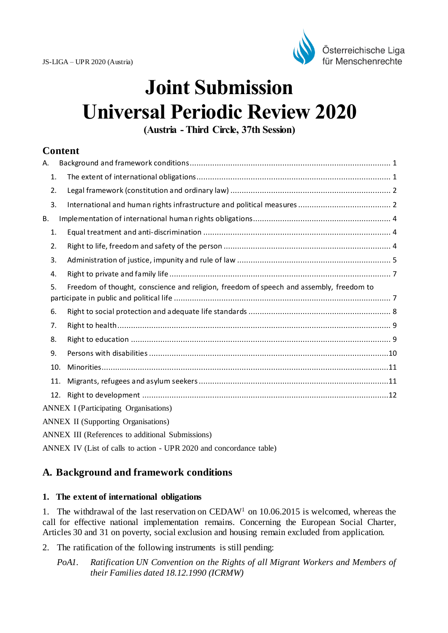

# **Joint Submission Universal Periodic Review 2020**

**(Austria - Third Circle, 37th Session)**

# **Content**

| А.                                           |  |                                                                                         |
|----------------------------------------------|--|-----------------------------------------------------------------------------------------|
| 1.                                           |  |                                                                                         |
| 2.                                           |  |                                                                                         |
| 3.                                           |  |                                                                                         |
| В.                                           |  |                                                                                         |
| 1.                                           |  |                                                                                         |
| 2.                                           |  |                                                                                         |
| 3.                                           |  |                                                                                         |
| 4.                                           |  |                                                                                         |
| 5.                                           |  | Freedom of thought, conscience and religion, freedom of speech and assembly, freedom to |
| 6.                                           |  |                                                                                         |
| 7.                                           |  |                                                                                         |
| 8.                                           |  |                                                                                         |
| 9.                                           |  |                                                                                         |
| 10.                                          |  |                                                                                         |
| 11.                                          |  |                                                                                         |
| 12.                                          |  |                                                                                         |
| <b>ANNEX I</b> (Participating Organisations) |  |                                                                                         |
| <b>ANNEX II (Supporting Organisations)</b>   |  |                                                                                         |
|                                              |  | $\mathbf{A}$                                                                            |

ANNEX III (References to additional Submissions)

ANNEX IV (List of calls to action - UPR 2020 and concordance table)

# <span id="page-0-0"></span>**A. Background and framework conditions**

#### <span id="page-0-1"></span>**1. The extent of international obligations**

1. The withdrawal of the last reservation on CEDAW<sup>1</sup> on 10.06.2015 is welcomed, whereas the call for effective national implementation remains. Concerning the European Social Charter, Articles 30 and 31 on poverty, social exclusion and housing remain excluded from application.

2. The ratification of the following instruments is still pending:

*PoA1. Ratification UN Convention on the Rights of all Migrant Workers and Members of their Families dated 18.12.1990 (ICRMW)*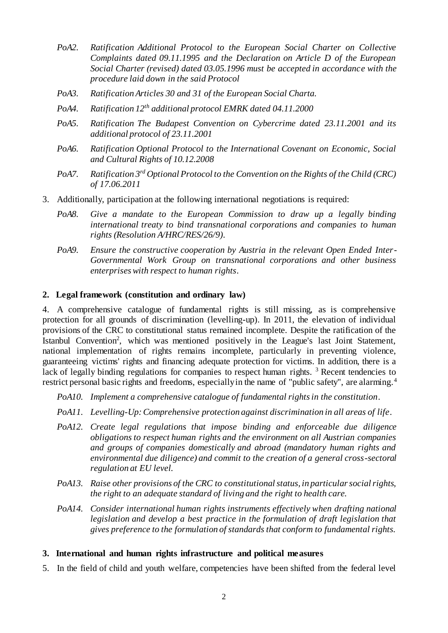- *PoA2. Ratification Additional Protocol to the European Social Charter on Collective Complaints dated 09.11.1995 and the Declaration on Article D of the European Social Charter (revised) dated 03.05.1996 must be accepted in accordance with the procedure laid down in the said Protocol*
- *PoA3. Ratification Articles 30 and 31 of the European Social Charta.*
- *PoA4. Ratification 12th additional protocol EMRK dated 04.11.2000*
- *PoA5. Ratification The Budapest Convention on Cybercrime dated 23.11.2001 and its additional protocol of 23.11.2001*
- *PoA6. Ratification Optional Protocol to the International Covenant on Economic, Social and Cultural Rights of 10.12.2008*
- *PoA7. Ratification 3rd Optional Protocol to the Convention on the Rights of the Child (CRC) of 17.06.2011*
- 3. Additionally, participation at the following international negotiations is required:
	- *PoA8. Give a mandate to the European Commission to draw up a legally binding international treaty to bind transnational corporations and companies to human rights (Resolution A/HRC/RES/26/9).*
	- *PoA9. Ensure the constructive cooperation by Austria in the relevant Open Ended Inter-Governmental Work Group on transnational corporations and other business enterprises with respect to human rights.*

#### <span id="page-1-0"></span>**2. Legal framework (constitution and ordinary law)**

4. A comprehensive catalogue of fundamental rights is still missing, as is comprehensive protection for all grounds of discrimination (levelling-up). In 2011, the elevation of individual provisions of the CRC to constitutional status remained incomplete. Despite the ratification of the Istanbul Convention<sup>2</sup>, which was mentioned positively in the League's last Joint Statement, national implementation of rights remains incomplete, particularly in preventing violence, guaranteeing victims' rights and financing adequate protection for victims. In addition, there is a lack of legally binding regulations for companies to respect human rights.<sup>3</sup> Recent tendencies to restrict personal basic rights and freedoms, especially in the name of "public safety", are alarming.<sup>4</sup>

- *PoA10. Implement a comprehensive catalogue of fundamental rights in the constitution.*
- *PoA11. Levelling-Up: Comprehensive protection against discrimination in all areas of life.*
- *PoA12. Create legal regulations that impose binding and enforceable due diligence obligations to respect human rights and the environment on all Austrian companies and groups of companies domestically and abroad (mandatory human rights and environmental due diligence) and commit to the creation of a general cross-sectoral regulation at EU level.*
- *PoA13. Raise other provisions of the CRC to constitutional status, in particular social rights, the right to an adequate standard of living and the right to health care.*
- *PoA14. Consider international human rights instruments effectively when drafting national legislation and develop a best practice in the formulation of draft legislation that gives preference to the formulation of standards that conform to fundamental rights.*

#### <span id="page-1-1"></span>**3. International and human rights infrastructure and political measures**

5. In the field of child and youth welfare, competencies have been shifted from the federal level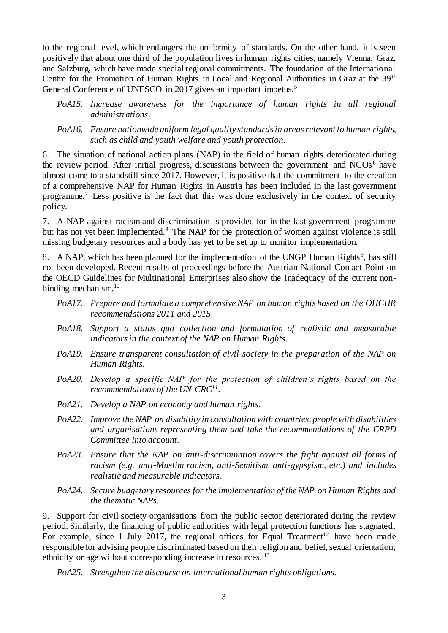to the regional level, which endangers the uniformity of standards. On the other hand, it is seen positively that about one third of the population lives in human rights cities, namely Vienna, Graz, and Salzburg, which have made special regional commitments. The foundation of the International Centre for the Promotion of Human Rights in Local and Regional Authorities in Graz at the 39<sup>th</sup> General Conference of UNESCO in 2017 gives an important impetus.<sup>5</sup>

- *PoA15. Increase awareness for the importance of human rights in all regional administrations.*
- *PoA16. Ensure nationwide uniform legal quality standards in areas relevant to human rights, such as child and youth welfare and youth protection.*

6. The situation of national action plans (NAP) in the field of human rights deteriorated during the review period. After initial progress, discussions between the government and NGOs<sup>6</sup> have almost come to a standstill since 2017. However, it is positive that the commitment to the creation of a comprehensive NAP for Human Rights in Austria has been included in the last government programme.<sup>7</sup> Less positive is the fact that this was done exclusively in the context of security policy.

7. A NAP against racism and discrimination is provided for in the last government programme but has not yet been implemented.<sup>8</sup> The NAP for the protection of women against violence is still missing budgetary resources and a body has yet to be set up to monitor implementation.

8. A NAP, which has been planned for the implementation of the UNGP Human Rights<sup>9</sup>, has still not been developed. Recent results of proceedings before the Austrian National Contact Point on the OECD Guidelines for Multinational Enterprises also show the inadequacy of the current nonbinding mechanism.<sup>10</sup>

- *PoA17. Prepare and formulate a comprehensive NAP on human rights based on the OHCHR recommendations 2011 and 2015.*
- *PoA18. Support a status quo collection and formulation of realistic and measurable indicators in the context of the NAP on Human Rights.*
- *PoA19. Ensure transparent consultation of civil society in the preparation of the NAP on Human Rights.*
- *PoA20. Develop a specific NAP for the protection of children's rights based on the recommendations of the UN-CRC<sup>11</sup> .*
- *PoA21. Develop a NAP on economy and human rights.*
- *PoA22. Improve the NAP on disability in consultation with countries, people with disabilities and organisations representing them and take the recommendations of the CRPD Committee into account.*
- *PoA23. Ensure that the NAP on anti-discrimination covers the fight against all forms of racism (e.g. anti-Muslim racism, anti-Semitism, anti-gypsyism, etc.) and includes realistic and measurable indicators.*
- *PoA24. Secure budgetary resources for the implementation of the NAP on Human Rights and the thematic NAPs.*

9. Support for civil society organisations from the public sector deteriorated during the review period. Similarly, the financing of public authorities with legal protection functions has stagnated. For example, since 1 July 2017, the regional offices for Equal Treatment<sup>12</sup> have been made responsible for advising people discriminated based on their religion and belief, sexual orientation, ethnicity or age without corresponding increase in resources. <sup>13</sup>

*PoA25. Strengthen the discourse on international human rights obligations.*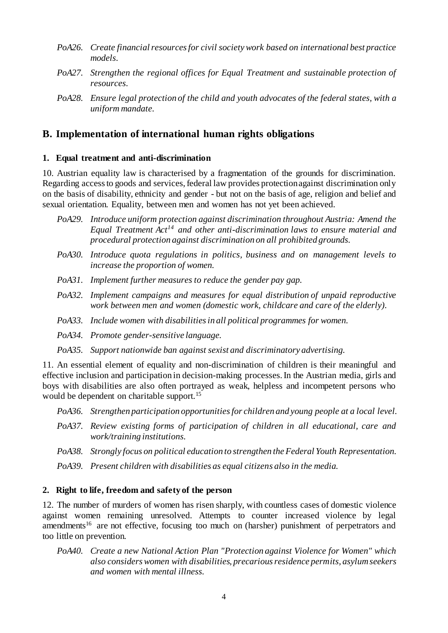- *PoA26. Create financial resources for civil society work based on international best practice models.*
- *PoA27. Strengthen the regional offices for Equal Treatment and sustainable protection of resources.*
- *PoA28. Ensure legal protection of the child and youth advocates of the federal states, with a uniform mandate.*

# <span id="page-3-0"></span>**B. Implementation of international human rights obligations**

## <span id="page-3-1"></span>**1. Equal treatment and anti-discrimination**

10. Austrian equality law is characterised by a fragmentation of the grounds for discrimination. Regarding access to goods and services, federal law provides protection against discrimination only on the basis of disability, ethnicity and gender - but not on the basis of age, religion and belief and sexual orientation. Equality, between men and women has not yet been achieved.

- *PoA29. Introduce uniform protection against discrimination throughout Austria: Amend the Equal Treatment Act<sup>14</sup> and other anti-discrimination laws to ensure material and procedural protection against discrimination on all prohibited grounds.*
- *PoA30. Introduce quota regulations in politics, business and on management levels to increase the proportion of women.*
- *PoA31. Implement further measures to reduce the gender pay gap.*
- *PoA32. Implement campaigns and measures for equal distribution of unpaid reproductive work between men and women (domestic work, childcare and care of the elderly).*
- *PoA33. Include women with disabilities in all political programmes for women.*
- *PoA34. Promote gender-sensitive language.*
- *PoA35. Support nationwide ban against sexist and discriminatory advertising.*

11. An essential element of equality and non-discrimination of children is their meaningful and effective inclusion and participation in decision-making processes. In the Austrian media, girls and boys with disabilities are also often portrayed as weak, helpless and incompetent persons who would be dependent on charitable support.<sup>15</sup>

- *PoA36. Strengthen participation opportunities for children and young people at a local level.*
- *PoA37. Review existing forms of participation of children in all educational, care and work/training institutions.*
- *PoA38. Strongly focus on political education to strengthen the Federal Youth Representation.*
- *PoA39. Present children with disabilities as equal citizens also in the media.*

# <span id="page-3-2"></span>**2. Right to life, freedom and safety of the person**

12. The number of murders of women has risen sharply, with countless cases of domestic violence against women remaining unresolved. Attempts to counter increased violence by legal amendments<sup>16</sup> are not effective, focusing too much on (harsher) punishment of perpetrators and too little on prevention.

*PoA40. Create a new National Action Plan "Protection against Violence for Women" which also considers women with disabilities, precarious residence permits, asylum seekers and women with mental illness.*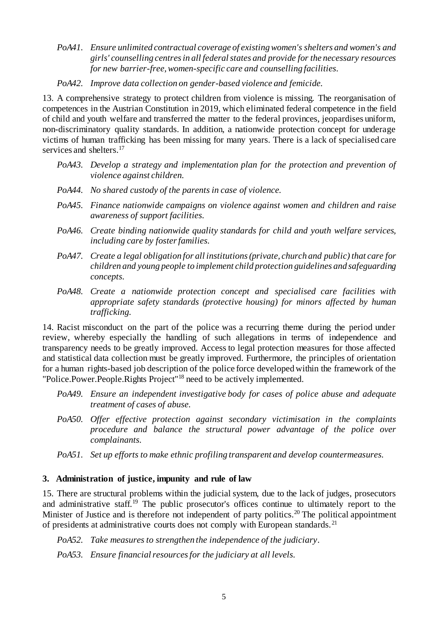*PoA41. Ensure unlimited contractual coverage of existing women's shelters and women's and girls' counselling centres in all federal states and provide for the necessary resources for new barrier-free, women-specific care and counselling facilities.*

*PoA42. Improve data collection on gender-based violence and femicide.*

13. A comprehensive strategy to protect children from violence is missing. The reorganisation of competences in the Austrian Constitution in 2019, which eliminated federal competence in the field of child and youth welfare and transferred the matter to the federal provinces, jeopardises uniform, non-discriminatory quality standards. In addition, a nationwide protection concept for underage victims of human trafficking has been missing for many years. There is a lack of specialised care services and shelters.<sup>17</sup>

- *PoA43. Develop a strategy and implementation plan for the protection and prevention of violence against children.*
- *PoA44. No shared custody of the parents in case of violence.*
- *PoA45. Finance nationwide campaigns on violence against women and children and raise awareness of support facilities.*
- *PoA46. Create binding nationwide quality standards for child and youth welfare services, including care by foster families.*
- *PoA47. Create a legal obligation for all institutions (private, church and public) that care for children and young people to implement child protection guidelines and safeguarding concepts.*
- *PoA48. Create a nationwide protection concept and specialised care facilities with appropriate safety standards (protective housing) for minors affected by human trafficking.*

14. Racist misconduct on the part of the police was a recurring theme during the period under review, whereby especially the handling of such allegations in terms of independence and transparency needs to be greatly improved. Access to legal protection measures for those affected and statistical data collection must be greatly improved. Furthermore, the principles of orientation for a human rights-based job description of the police force developed within the framework of the "Police.Power.People.Rights Project"<sup>18</sup> need to be actively implemented.

- *PoA49. Ensure an independent investigative body for cases of police abuse and adequate treatment of cases of abuse.*
- *PoA50. Offer effective protection against secondary victimisation in the complaints procedure and balance the structural power advantage of the police over complainants.*
- *PoA51. Set up efforts to make ethnic profiling transparent and develop countermeasures.*

# <span id="page-4-0"></span>**3. Administration of justice, impunity and rule of law**

15. There are structural problems within the judicial system, due to the lack of judges, prosecutors and administrative staff.<sup>19</sup> The public prosecutor's offices continue to ultimately report to the Minister of Justice and is therefore not independent of party politics.<sup>20</sup> The political appointment of presidents at administrative courts does not comply with European standards.<sup>21</sup>

*PoA52. Take measures to strengthen the independence of the judiciary.*

*PoA53. Ensure financial resources for the judiciary at all levels.*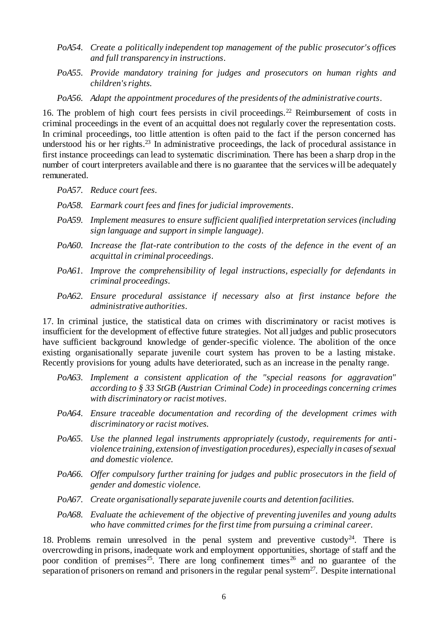- *PoA54. Create a politically independent top management of the public prosecutor's offices and full transparency in instructions.*
- *PoA55. Provide mandatory training for judges and prosecutors on human rights and children's rights.*
- *PoA56. Adapt the appointment procedures of the presidents of the administrative courts.*

16. The problem of high court fees persists in civil proceedings.<sup>22</sup> Reimbursement of costs in criminal proceedings in the event of an acquittal does not regularly cover the representation costs. In criminal proceedings, too little attention is often paid to the fact if the person concerned has understood his or her rights. $2<sup>3</sup>$  In administrative proceedings, the lack of procedural assistance in first instance proceedings can lead to systematic discrimination. There has been a sharp drop in the number of court interpreters available and there is no guarantee that the services will be adequately remunerated.

- *PoA57. Reduce court fees.*
- *PoA58. Earmark court fees and fines for judicial improvements.*
- *PoA59. Implement measures to ensure sufficient qualified interpretation services (including sign language and support in simple language).*
- *PoA60. Increase the flat-rate contribution to the costs of the defence in the event of an acquittal in criminal proceedings.*
- *PoA61. Improve the comprehensibility of legal instructions, especially for defendants in criminal proceedings.*
- *PoA62. Ensure procedural assistance if necessary also at first instance before the administrative authorities.*

17. In criminal justice, the statistical data on crimes with discriminatory or racist motives is insufficient for the development of effective future strategies. Not all judges and public prosecutors have sufficient background knowledge of gender-specific violence. The abolition of the once existing organisationally separate juvenile court system has proven to be a lasting mistake. Recently provisions for young adults have deteriorated, such as an increase in the penalty range.

- *PoA63. Implement a consistent application of the "special reasons for aggravation" according to § 33 StGB (Austrian Criminal Code) in proceedings concerning crimes with discriminatory or racist motives.*
- *PoA64. Ensure traceable documentation and recording of the development crimes with discriminatory or racist motives.*
- *PoA65. Use the planned legal instruments appropriately (custody, requirements for antiviolence training, extension of investigation procedures), especially in cases of sexual and domestic violence.*
- *PoA66. Offer compulsory further training for judges and public prosecutors in the field of gender and domestic violence.*
- *PoA67. Create organisationally separate juvenile courts and detention facilities.*
- *PoA68. Evaluate the achievement of the objective of preventing juveniles and young adults who have committed crimes for the first time from pursuing a criminal career.*

18. Problems remain unresolved in the penal system and preventive custody<sup>24</sup>. There is overcrowding in prisons, inadequate work and employment opportunities, shortage of staff and the poor condition of premises<sup>25</sup>. There are long confinement times<sup>26</sup> and no guarantee of the separation of prisoners on remand and prisoners in the regular penal system<sup>27</sup>. Despite international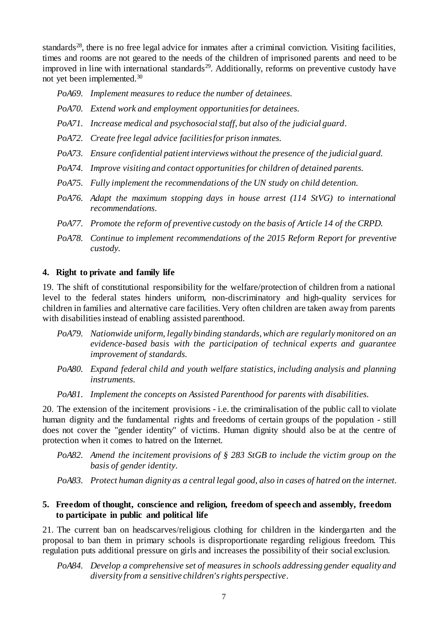standards<sup>28</sup>, there is no free legal advice for inmates after a criminal conviction. Visiting facilities, times and rooms are not geared to the needs of the children of imprisoned parents and need to be improved in line with international standards<sup>29</sup>. Additionally, reforms on preventive custody have not yet been implemented.<sup>30</sup>

*PoA69. Implement measures to reduce the number of detainees.*

- *PoA70. Extend work and employment opportunities for detainees.*
- *PoA71. Increase medical and psychosocial staff, but also of the judicial guard.*
- *PoA72. Create free legal advice facilities for prison inmates.*
- *PoA73. Ensure confidential patient interviews without the presence of the judicial guard.*
- *PoA74. Improve visiting and contact opportunities for children of detained parents.*
- *PoA75. Fully implement the recommendations of the UN study on child detention.*
- *PoA76. Adapt the maximum stopping days in house arrest (114 StVG) to international recommendations.*
- *PoA77. Promote the reform of preventive custody on the basis of Article 14 of the CRPD.*
- *PoA78. Continue to implement recommendations of the 2015 Reform Report for preventive custody.*

#### <span id="page-6-0"></span>**4. Right to private and family life**

19. The shift of constitutional responsibility for the welfare/protection of children from a national level to the federal states hinders uniform, non-discriminatory and high-quality services for children in families and alternative care facilities. Very often children are taken away from parents with disabilities instead of enabling assisted parenthood.

- *PoA79. Nationwide uniform, legally binding standards, which are regularly monitored on an evidence-based basis with the participation of technical experts and guarantee improvement of standards.*
- *PoA80. Expand federal child and youth welfare statistics, including analysis and planning instruments.*
- *PoA81. Implement the concepts on Assisted Parenthood for parents with disabilities.*

20. The extension of the incitement provisions - i.e. the criminalisation of the public call to violate human dignity and the fundamental rights and freedoms of certain groups of the population - still does not cover the "gender identity" of victims. Human dignity should also be at the centre of protection when it comes to hatred on the Internet.

- *PoA82. Amend the incitement provisions of § 283 StGB to include the victim group on the basis of gender identity.*
- *PoA83. Protect human dignity as a central legal good, also in cases of hatred on the internet.*

## <span id="page-6-1"></span>**5. Freedom of thought, conscience and religion, freedom of speech and assembly, freedom to participate in public and political life**

21. The current ban on headscarves/religious clothing for children in the kindergarten and the proposal to ban them in primary schools is disproportionate regarding religious freedom. This regulation puts additional pressure on girls and increases the possibility of their social exclusion.

*PoA84. Develop a comprehensive set of measures in schools addressing gender equality and diversity from a sensitive children's rights perspective.*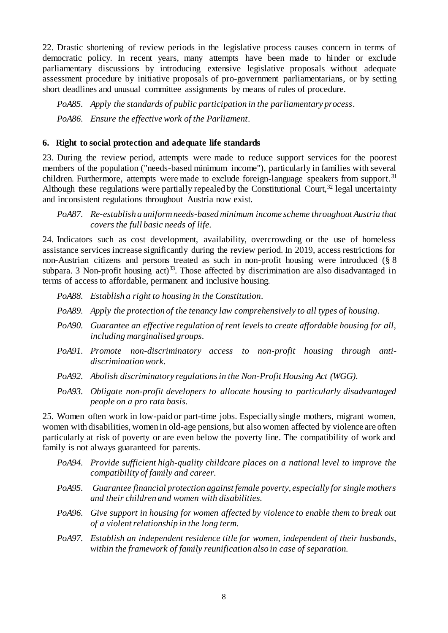22. Drastic shortening of review periods in the legislative process causes concern in terms of democratic policy. In recent years, many attempts have been made to hinder or exclude parliamentary discussions by introducing extensive legislative proposals without adequate assessment procedure by initiative proposals of pro-government parliamentarians, or by setting short deadlines and unusual committee assignments by means of rules of procedure.

*PoA85. Apply the standards of public participation in the parliamentary process. PoA86. Ensure the effective work of the Parliament.*

#### <span id="page-7-0"></span>**6. Right to social protection and adequate life standards**

23. During the review period, attempts were made to reduce support services for the poorest members of the population ("needs-based minimum income"), particularly in families with several children. Furthermore, attempts were made to exclude foreign-language speakers from support.<sup>31</sup> Although these regulations were partially repealed by the Constitutional Court,  $32$  legal uncertainty and inconsistent regulations throughout Austria now exist.

## *PoA87. Re-establish a uniform needs-based minimum income scheme throughout Austria that covers the full basic needs of life.*

24. Indicators such as cost development, availability, overcrowding or the use of homeless assistance services increase significantly during the review period. In 2019, access restrictions for non-Austrian citizens and persons treated as such in non-profit housing were introduced (§ 8 subpara. 3 Non-profit housing  $act)^{33}$ . Those affected by discrimination are also disadvantaged in terms of access to affordable, permanent and inclusive housing.

- *PoA88. Establish a right to housing in the Constitution.*
- *PoA89. Apply the protection of the tenancy law comprehensively to all types of housing.*
- *PoA90. Guarantee an effective regulation of rent levels to create affordable housing for all, including marginalised groups.*
- *PoA91. Promote non-discriminatory access to non-profit housing through antidiscrimination work.*
- *PoA92. Abolish discriminatory regulations in the Non-Profit Housing Act (WGG).*
- *PoA93. Obligate non-profit developers to allocate housing to particularly disadvantaged people on a pro rata basis.*

25. Women often work in low-paid or part-time jobs. Especially single mothers, migrant women, women with disabilities, women in old-age pensions, but also women affected by violence are often particularly at risk of poverty or are even below the poverty line. The compatibility of work and family is not always guaranteed for parents.

- *PoA94. Provide sufficient high-quality childcare places on a national level to improve the compatibility of family and career.*
- *PoA95. Guarantee financial protection against female poverty, especially for single mothers and their children and women with disabilities.*
- *PoA96. Give support in housing for women affected by violence to enable them to break out of a violent relationship in the long term.*
- *PoA97. Establish an independent residence title for women, independent of their husbands, within the framework of family reunification also in case of separation.*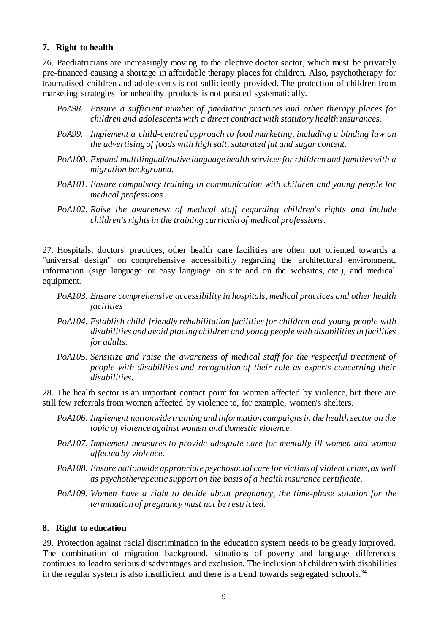#### <span id="page-8-0"></span>**7. Right to health**

26. Paediatricians are increasingly moving to the elective doctor sector, which must be privately pre-financed causing a shortage in affordable therapy places for children. Also, psychotherapy for traumatised children and adolescents is not sufficiently provided. The protection of children from marketing strategies for unhealthy products is not pursued systematically.

- *PoA98. Ensure a sufficient number of paediatric practices and other therapy places for children and adolescents with a direct contract with statutory health insurances.*
- *PoA99. Implement a child-centred approach to food marketing, including a binding law on the advertising of foods with high salt, saturated fat and sugar content.*
- *PoA100. Expand multilingual/native language health services for children and families with a migration background.*
- *PoA101. Ensure compulsory training in communication with children and young people for medical professions.*
- *PoA102. Raise the awareness of medical staff regarding children's rights and include children's rights in the training curricula of medical professions.*

27. Hospitals, doctors' practices, other health care facilities are often not oriented towards a "universal design" on comprehensive accessibility regarding the architectural environment, information (sign language or easy language on site and on the websites, etc.), and medical equipment.

- *PoA103. Ensure comprehensive accessibility in hospitals, medical practices and other health facilities*
- *PoA104. Establish child-friendly rehabilitation facilities for children and young people with disabilities and avoid placing children and young people with disabilities in facilities for adults.*
- *PoA105. Sensitize and raise the awareness of medical staff for the respectful treatment of people with disabilities and recognition of their role as experts concerning their disabilities.*

28. The health sector is an important contact point for women affected by violence, but there are still few referrals from women affected by violence to, for example, women's shelters.

- *PoA106. Implement nationwide training and information campaigns in the health sector on the topic of violence against women and domestic violence.*
- *PoA107. Implement measures to provide adequate care for mentally ill women and women affected by violence.*
- *PoA108. Ensure nationwide appropriate psychosocial care for victims of violent crime, as well as psychotherapeutic support on the basis of a health insurance certificate.*
- *PoA109. Women have a right to decide about pregnancy, the time-phase solution for the termination of pregnancy must not be restricted.*

#### <span id="page-8-1"></span>**8. Right to education**

29. Protection against racial discrimination in the education system needs to be greatly improved. The combination of migration background, situations of poverty and language differences continues to lead to serious disadvantages and exclusion. The inclusion of children with disabilities in the regular system is also insufficient and there is a trend towards segregated schools.<sup>34</sup>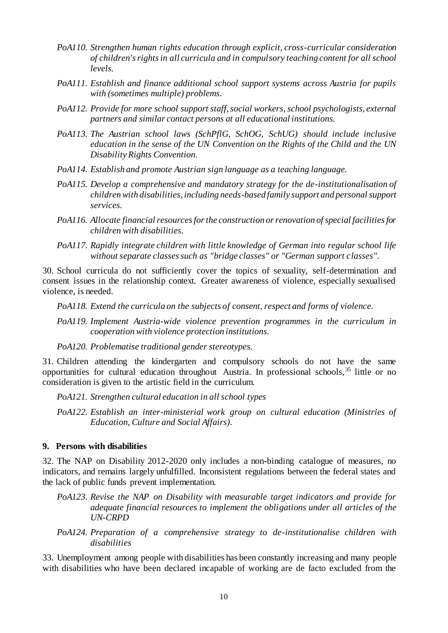- *PoA110. Strengthen human rights education through explicit, cross-curricular consideration of children's rights in all curricula and in compulsory teaching content for all school levels.*
- *PoA111. Establish and finance additional school support systems across Austria for pupils with (sometimes multiple) problems.*
- *PoA112. Provide for more school support staff, social workers, school psychologists, external partners and similar contact persons at all educational institutions.*
- *PoA113. The Austrian school laws (SchPflG, SchOG, SchUG) should include inclusive education in the sense of the UN Convention on the Rights of the Child and the UN Disability Rights Convention.*
- *PoA114. Establish and promote Austrian sign language as a teaching language.*
- *PoA115. Develop a comprehensive and mandatory strategy for the de-institutionalisation of children with disabilities, including needs-based family support and personal support services.*
- *PoA116. Allocate financial resources for the construction or renovation of special facilities for children with disabilities.*
- *PoA117. Rapidly integrate children with little knowledge of German into regular school life without separate classes such as "bridge classes" or "German support classes".*

30. School curricula do not sufficiently cover the topics of sexuality, self-determination and consent issues in the relationship context. Greater awareness of violence, especially sexualised violence, is needed.

*PoA118. Extend the curricula on the subjects of consent, respect and forms of violence.*

*PoA119. Implement Austria-wide violence prevention programmes in the curriculum in cooperation with violence protection institutions.*

*PoA120. Problematise traditional gender stereotypes.*

31. Children attending the kindergarten and compulsory schools do not have the same opportunities for cultural education throughout Austria. In professional schools,<sup>35</sup> little or no consideration is given to the artistic field in the curriculum.

*PoA121. Strengthen cultural education in all school types*

*PoA122. Establish an inter-ministerial work group on cultural education (Ministries of Education, Culture and Social Affairs).*

## <span id="page-9-0"></span>**9. Persons with disabilities**

32. The NAP on Disability 2012-2020 only includes a non-binding catalogue of measures, no indicators, and remains largely unfulfilled. Inconsistent regulations between the federal states and the lack of public funds prevent implementation.

- *PoA123. Revise the NAP on Disability with measurable target indicators and provide for adequate financial resources to implement the obligations under all articles of the UN-CRPD*
- *PoA124. Preparation of a comprehensive strategy to de-institutionalise children with disabilities*

33. Unemployment among people with disabilities has been constantly increasing and many people with disabilities who have been declared incapable of working are de facto excluded from the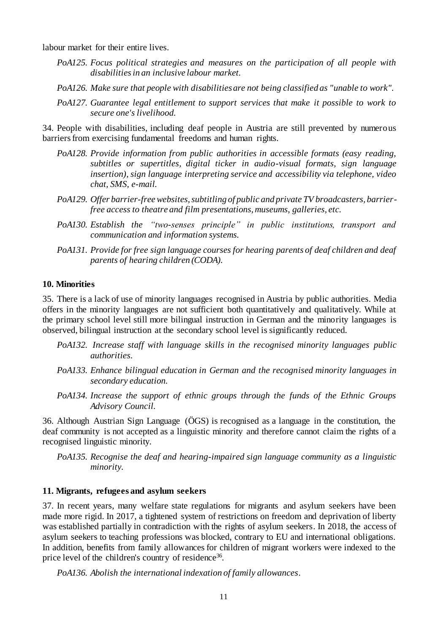labour market for their entire lives.

- *PoA125. Focus political strategies and measures on the participation of all people with disabilities in an inclusive labour market.*
- *PoA126. Make sure that people with disabilities are not being classified as "unable to work".*
- *PoA127. Guarantee legal entitlement to support services that make it possible to work to secure one's livelihood.*

34. People with disabilities, including deaf people in Austria are still prevented by numerous barriers from exercising fundamental freedoms and human rights.

- *PoA128. Provide information from public authorities in accessible formats (easy reading, subtitles or supertitles, digital ticker in audio-visual formats, sign language insertion), sign language interpreting service and accessibility via telephone, video chat, SMS, e-mail.*
- *PoA129. Offer barrier-free websites, subtitling of public and private TV broadcasters, barrierfree access to theatre and film presentations, museums, galleries, etc.*
- *PoA130. Establish the "two-senses principle" in public institutions, transport and communication and information systems.*
- *PoA131. Provide for free sign language courses for hearing parents of deaf children and deaf parents of hearing children (CODA).*

#### <span id="page-10-0"></span>**10. Minorities**

35. There is a lack of use of minority languages recognised in Austria by public authorities. Media offers in the minority languages are not sufficient both quantitatively and qualitatively. While at the primary school level still more bilingual instruction in German and the minority languages is observed, bilingual instruction at the secondary school level is significantly reduced.

- *PoA132. Increase staff with language skills in the recognised minority languages public authorities.*
- *PoA133. Enhance bilingual education in German and the recognised minority languages in secondary education.*
- *PoA134. Increase the support of ethnic groups through the funds of the Ethnic Groups Advisory Council.*

36. Although Austrian Sign Language (ÖGS) is recognised as a language in the constitution, the deaf community is not accepted as a linguistic minority and therefore cannot claim the rights of a recognised linguistic minority.

*PoA135. Recognise the deaf and hearing-impaired sign language community as a linguistic minority.*

#### <span id="page-10-1"></span>**11. Migrants, refugees and asylum seekers**

37. In recent years, many welfare state regulations for migrants and asylum seekers have been made more rigid. In 2017, a tightened system of restrictions on freedom and deprivation of liberty was established partially in contradiction with the rights of asylum seekers. In 2018, the access of asylum seekers to teaching professions was blocked, contrary to EU and international obligations. In addition, benefits from family allowances for children of migrant workers were indexed to the price level of the children's country of residence<sup>36</sup>.

*PoA136. Abolish the international indexation of family allowances.*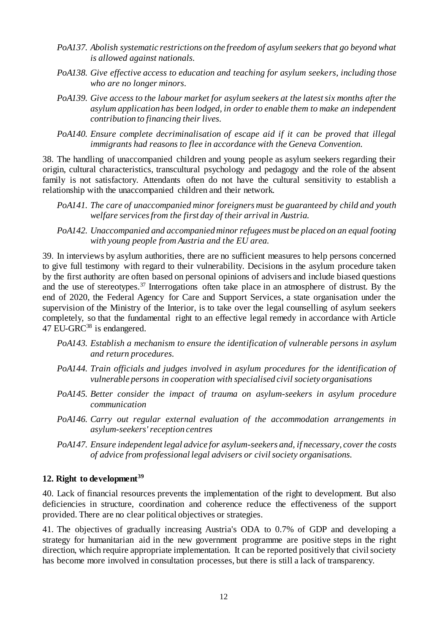- *PoA137. Abolish systematic restrictions on the freedom of asylum seekers that go beyond what is allowed against nationals.*
- *PoA138. Give effective access to education and teaching for asylum seekers, including those who are no longer minors.*
- *PoA139. Give access to the labour market for asylum seekers at the latest six months after the asylum application has been lodged, in order to enable them to make an independent contribution to financing their lives.*
- *PoA140. Ensure complete decriminalisation of escape aid if it can be proved that illegal immigrants had reasons to flee in accordance with the Geneva Convention.*

38. The handling of unaccompanied children and young people as asylum seekers regarding their origin, cultural characteristics, transcultural psychology and pedagogy and the role of the absent family is not satisfactory. Attendants often do not have the cultural sensitivity to establish a relationship with the unaccompanied children and their network.

- *PoA141. The care of unaccompanied minor foreigners must be guaranteed by child and youth welfare services from the first day of their arrival in Austria.*
- *PoA142. Unaccompanied and accompanied minor refugees must be placed on an equal footing with young people from Austria and the EU area.*

39. In interviews by asylum authorities, there are no sufficient measures to help persons concerned to give full testimony with regard to their vulnerability. Decisions in the asylum procedure taken by the first authority are often based on personal opinions of advisers and include biased questions and the use of stereotypes.<sup>37</sup> Interrogations often take place in an atmosphere of distrust. By the end of 2020, the Federal Agency for Care and Support Services, a state organisation under the supervision of the Ministry of the Interior, is to take over the legal counselling of asylum seekers completely, so that the fundamental right to an effective legal remedy in accordance with Article 47 EU-GRC<sup>38</sup> is endangered.

- *PoA143. Establish a mechanism to ensure the identification of vulnerable persons in asylum and return procedures.*
- *PoA144. Train officials and judges involved in asylum procedures for the identification of vulnerable persons in cooperation with specialised civil society organisations*
- *PoA145. Better consider the impact of trauma on asylum-seekers in asylum procedure communication*
- *PoA146. Carry out regular external evaluation of the accommodation arrangements in asylum-seekers' reception centres*
- *PoA147. Ensure independent legal advice for asylum-seekers and, if necessary, cover the costs of advice from professional legal advisers or civil society organisations.*

# <span id="page-11-0"></span>**12. Right to development<sup>39</sup>**

40. Lack of financial resources prevents the implementation of the right to development. But also deficiencies in structure, coordination and coherence reduce the effectiveness of the support provided. There are no clear political objectives or strategies.

41. The objectives of gradually increasing Austria's ODA to 0.7% of GDP and developing a strategy for humanitarian aid in the new government programme are positive steps in the right direction, which require appropriate implementation. It can be reported positively that civil society has become more involved in consultation processes, but there is still a lack of transparency.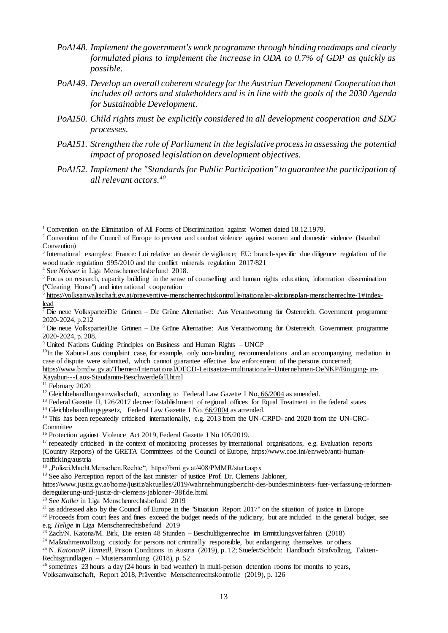- *PoA148. Implement the government's work programme through binding roadmaps and clearly formulated plans to implement the increase in ODA to 0.7% of GDP as quickly as possible.*
- *PoA149. Develop an overall coherent strategy for the Austrian Development Cooperation that includes all actors and stakeholders and is in line with the goals of the 2030 Agenda for Sustainable Development.*
- *PoA150. Child rights must be explicitly considered in all development cooperation and SDG processes.*
- *PoA151. Strengthen the role of Parliament in the legislative process in assessing the potential impact of proposed legislation on development objectives.*
- *PoA152. Implement the "Standards for Public Participation" to guarantee the participation of all relevant actors.<sup>40</sup>*

<sup>4</sup> See *Neisser* in Liga Menschenrechtsbefund 2018.

 $10$ In the Xaburi-Laos complaint case, for example, only non-binding recommendations and an accompanying mediation in case of dispute were submitted, which cannot guarantee effective law enforcement of the persons concerned;

[https://www.bmdw.gv.at/Themen/International/OECD-Leitsaetze-multinationale-Unternehmen-OeNKP/Einigung-im-](https://www.bmdw.gv.at/Themen/International/OECD-Leitsaetze-multinationale-Unternehmen-OeNKP/Einigung-im-Xayaburi---Laos-Staudamm-Beschwerdefall.html)[Xayaburi---Laos-Staudamm-Beschwerdefall.html](https://www.bmdw.gv.at/Themen/International/OECD-Leitsaetze-multinationale-Unternehmen-OeNKP/Einigung-im-Xayaburi---Laos-Staudamm-Beschwerdefall.html)

 $\overline{11}$  February 2020

<sup>13</sup> Federal Gazette II, 126/2017 decree: Establishment of regional offices for Equal Treatment in the federal states

<sup>14</sup> Gleichbehandlungsgesetz, [Federal Law Gazette I No.](https://www.ris.bka.gv.at/eli/bgbl/I/2004/66) 66/2004 as amended.

<sup>15</sup> This has been repeatedly criticised internationally, e.g. 2013 from the UN-CRPD- and 2020 from the UN-CRC-

**Committee** 

 $\overline{a}$ 

<sup>19</sup> See also Perception report of the last minister of justice Prof. Dr. Clemens Jabloner,

[https://www.justiz.gv.at/home/justiz/aktuelles/2019/wahrnehmungsbericht-des-bundesministers-fuer-verfassung-reformen](https://www.justiz.gv.at/home/justiz/aktuelles/2019/wahrnehmungsbericht-des-bundesministers-fuer-verfassung-reformen-deregulierung-und-justiz-dr-clemens-jabloner~38f.de.html)[deregulierung-und-justiz-dr-clemens-jabloner~38f.de.html](https://www.justiz.gv.at/home/justiz/aktuelles/2019/wahrnehmungsbericht-des-bundesministers-fuer-verfassung-reformen-deregulierung-und-justiz-dr-clemens-jabloner~38f.de.html)

<sup>20</sup> See *Koller* in Liga Menschenrechtsbefund 2019

<sup>22</sup> Proceeds from court fees and fines exceed the budget needs of the judiciary, but are included in the general budget, see e.g. *Helige* in Liga Menschenrechtsbefund 2019

 $^{23}$  Zach/N. Katona/M. Birk, Die ersten 48 Stunden – Beschuldigtenrechte im Ermittlungsverfahren (2018)

<sup>24</sup> Maßnahmenvollzug, custody for persons not criminally responsible, but endangering themselves or others

<sup>25</sup> N. *Katona/P. Hamedl*, Prison Conditions in Austria (2019), p. 12; Stuefer/Schöch: Handbuch Strafvollzug, Fakten-Rechtsgrundlagen – Mustersammlung (2018), p. 52

 $^{26}$  sometimes  $\overline{23}$  hours a day (24 hours in bad weather) in multi-person detention rooms for months to years,

Volksanwaltschaft, Report 2018, Präventive Menschenrechtskontrolle (2019), p. 126

<sup>&</sup>lt;sup>1</sup> Convention on the Elimination of All Forms of Discrimination against Women dated 18.12.1979.

<sup>&</sup>lt;sup>2</sup> Convention of the Council of Europe to prevent and combat violence against women and domestic violence (Istanbul Convention)

<sup>3</sup> International examples: France: Loi relative au devoir de vigilance; EU: branch-specific due diligence regulation of the wood trade regulation 995/2010 and the conflict minerals regulation 2017/821

<sup>5</sup> Focus on research, capacity building in the sense of counselling and human rights education, information dissemination ("Clearing House") and international cooperation

<sup>6</sup> [https://volksanwaltschaft.gv.at/praeventive-menschenrechtskontrolle/nationaler-aktionsplan-menschenrechte-1#index](https://volksanwaltschaft.gv.at/praeventive-menschenrechtskontrolle/nationaler-aktionsplan-menschenrechte-1#index-lead)[lead](https://volksanwaltschaft.gv.at/praeventive-menschenrechtskontrolle/nationaler-aktionsplan-menschenrechte-1#index-lead)

<sup>7</sup> Die neue Volkspartei/Die Grünen – Die Grüne Alternative: Aus Verantwortung für Österreich. Government programme 2020-2024, p.212

<sup>8</sup> Die neue Volkspartei/Die Grünen – Die Grüne Alternative: Aus Verantwortung für Österreich. Government programme 2020-2024, p. 208.

<sup>9</sup> United Nations Guiding Principles on Business and Human Rights – UNGP

<sup>&</sup>lt;sup>12</sup> Gleichbehandlungsanwaltschaft, according to [Federal Law Gazette I No. 66/2004](https://www.ris.bka.gv.at/eli/bgbl/I/2004/66) as amended.

<sup>&</sup>lt;sup>16</sup> Protection against Violence Act 2019, Federal Gazette I No 105/2019.

<sup>&</sup>lt;sup>17</sup> repeatedly criticised in the context of monitoring processes by international organisations, e.g. Evaluation reports (Country Reports) of the GRETA Committees of the Council of Europe, [https://www.coe.int/en/web/anti-human](https://www.coe.int/en/web/anti-human-trafficking/austria)[trafficking/austria](https://www.coe.int/en/web/anti-human-trafficking/austria)

<sup>&</sup>lt;sup>18</sup>, Polizei.Macht.Menschen.Rechte", https://bmi.gv.at/408/PMMR/start.aspx

 $21$  as addressed also by the Council of Europe in the "Situation Report 2017" on the situation of justice in Europe